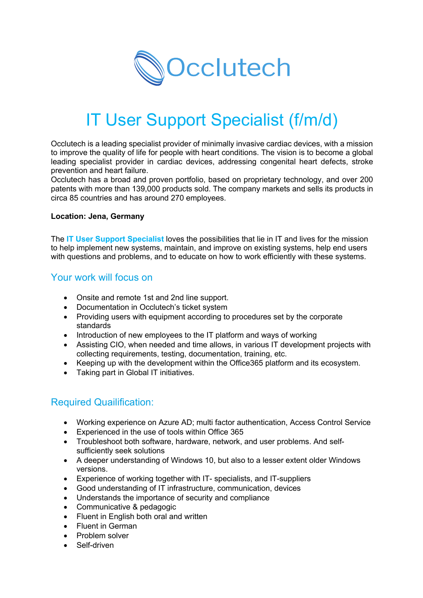

# IT User Support Specialist (f/m/d)

Occlutech is a leading specialist provider of minimally invasive cardiac devices, with a mission to improve the quality of life for people with heart conditions. The vision is to become a global leading specialist provider in cardiac devices, addressing congenital heart defects, stroke prevention and heart failure.

Occlutech has a broad and proven portfolio, based on proprietary technology, and over 200 patents with more than 139,000 products sold. The company markets and sells its products in circa 85 countries and has around 270 employees.

#### **Location: Jena, Germany**

The **IT User Support Specialist** loves the possibilities that lie in IT and lives for the mission to help implement new systems, maintain, and improve on existing systems, help end users with questions and problems, and to educate on how to work efficiently with these systems.

### Your work will focus on

- Onsite and remote 1st and 2nd line support.
- Documentation in Occlutech's ticket system
- Providing users with equipment according to procedures set by the corporate standards
- Introduction of new employees to the IT platform and ways of working
- Assisting CIO, when needed and time allows, in various IT development projects with collecting requirements, testing, documentation, training, etc.
- Keeping up with the development within the Office365 platform and its ecosystem.
- Taking part in Global IT initiatives.

# Required Quailification:

- Working experience on Azure AD; multi factor authentication, Access Control Service
- Experienced in the use of tools within Office 365
- Troubleshoot both software, hardware, network, and user problems. And selfsufficiently seek solutions
- A deeper understanding of Windows 10, but also to a lesser extent older Windows versions.
- Experience of working together with IT- specialists, and IT-suppliers
- Good understanding of IT infrastructure, communication, devices
- Understands the importance of security and compliance
- Communicative & pedagogic
- Fluent in English both oral and written
- Fluent in German
- Problem solver
- Self-driven